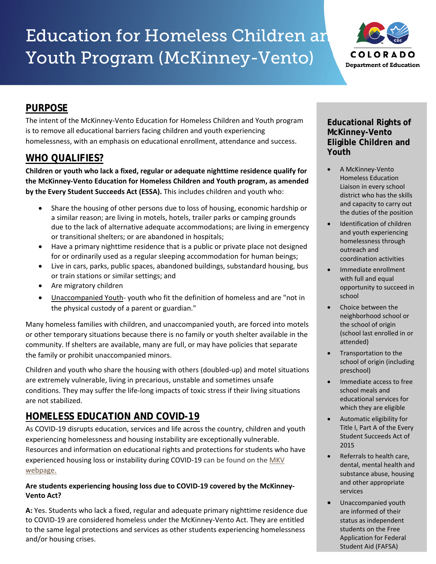# Education for Homeless Children and Youth Program (McKinney-Vento)



# **PURPOSE**

The intent of the McKinney-Vento Education for Homeless Children and Youth program is to remove all educational barriers facing children and youth experiencing homelessness, with an emphasis on educational enrollment, attendance and success.

# **WHO QUALIFIES?**

**Children or youth who lack a fixed, regular or adequate nighttime residence qualify for the McKinney-Vento Education for Homeless Children and Youth program, as amended by the Every Student Succeeds Act (ESSA).** This includes children and youth who:

- Share the housing of other persons due to loss of housing, economic hardship or a similar reason; are living in motels, hotels, trailer parks or camping grounds due to the lack of alternative adequate accommodations; are living in emergency or transitional shelters; or are abandoned in hospitals;
- Have a primary nighttime residence that is a public or private place not designed for or ordinarily used as a regular sleeping accommodation for human beings;
- Live in cars, parks, public spaces, abandoned buildings, substandard housing, bus or train stations or similar settings; and
- Are migratory children
- Unaccompanied Youth- youth who fit the definition of homeless and are "not in the physical custody of a parent or guardian."

Many homeless families with children, and unaccompanied youth, are forced into motels or other temporary situations because there is no family or youth shelter available in the community. If shelters are available, many are full, or may have policies that separate the family or prohibit unaccompanied minors.

Children and youth who share the housing with others (doubled-up) and motel situations are extremely vulnerable, living in precarious, unstable and sometimes unsafe conditions. They may suffer the life-long impacts of toxic stress if their living situations are not stabilized.

# **HOMELESS EDUCATION AND COVID-19**

As COVID-19 disrupts education, services and life across the country, children and youth experiencing homelessness and housing instability are exceptionally vulnerable. Resources and information on educational rights and protections for students who have experienced housing loss or instability during COVID-19 can be found on the MKV [webpage.](https://www.cde.state.co.us/dropoutprevention/covid-faq-mckinney-vento)

## **Are students experiencing housing loss due to COVID-19 covered by the McKinney-Vento Act?**

**A:** Yes. Students who lack a fixed, regular and adequate primary nighttime residence due to COVID-19 are considered homeless under the McKinney-Vento Act. They are entitled to the same legal protections and services as other students experiencing homelessness and/or housing crises.

## **Educational Rights of McKinney-Vento Eligible Children and Youth**

- A McKinney-Vento Homeless Education Liaison in every school district who has the skills and capacity to carry out the duties of the position
- Identification of children and youth experiencing homelessness through outreach and coordination activities
- Immediate enrollment with full and equal opportunity to succeed in school
- Choice between the neighborhood school or the school of origin (school last enrolled in or attended)
- Transportation to the school of origin (including preschool)
- Immediate access to free school meals and educational services for which they are eligible
- Automatic eligibility for Title I, Part A of the Every Student Succeeds Act of 2015
- Referrals to health care, dental, mental health and substance abuse, housing and other appropriate services
- Unaccompanied youth are informed of their status as independent students on the Free Application for Federal Student Aid (FAFSA)